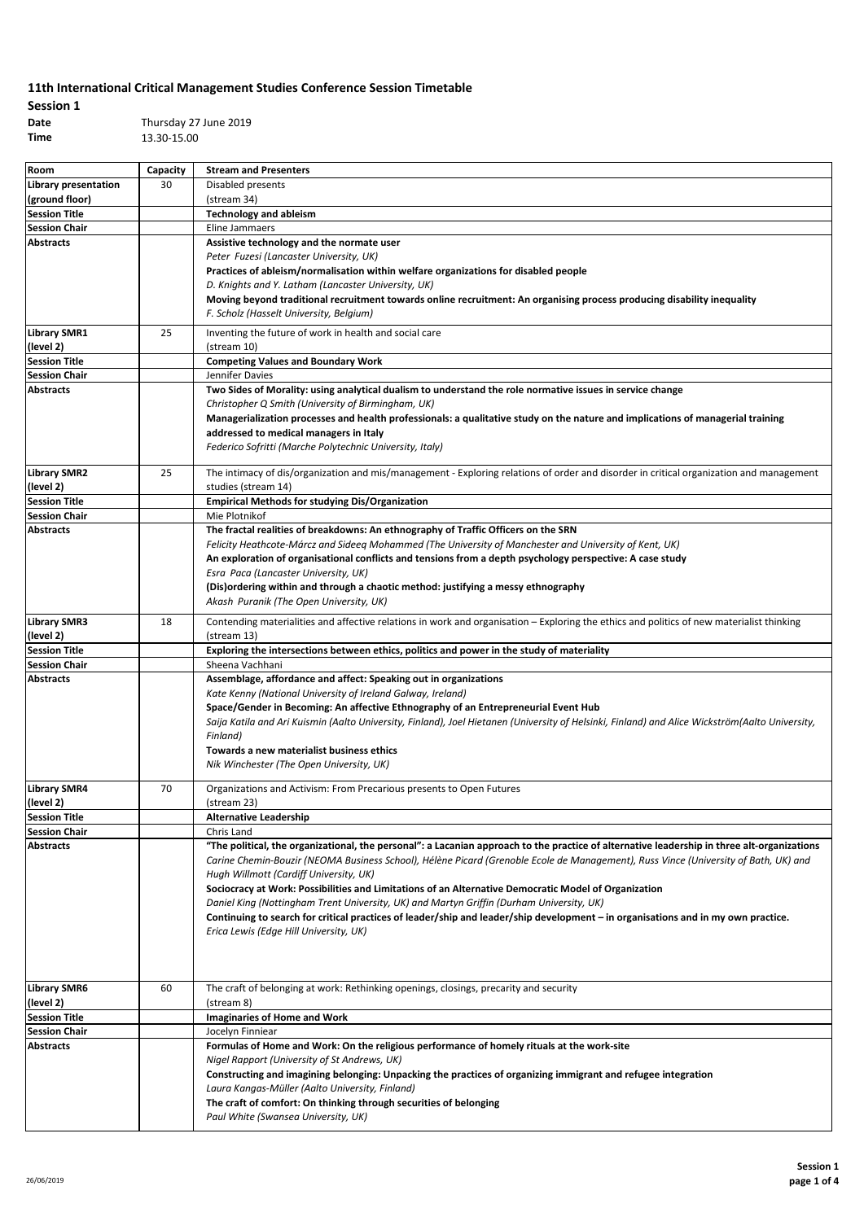### **Session 1 Time** 13.30-15.00

**Date** Thursday 27 June 2019

| Room                 | Capacity | <b>Stream and Presenters</b>                                                                                                                    |
|----------------------|----------|-------------------------------------------------------------------------------------------------------------------------------------------------|
| Library presentation | 30       | Disabled presents                                                                                                                               |
| (ground floor)       |          | (stream 34)                                                                                                                                     |
| <b>Session Title</b> |          | <b>Technology and ableism</b>                                                                                                                   |
| <b>Session Chair</b> |          | Eline Jammaers                                                                                                                                  |
| <b>Abstracts</b>     |          | Assistive technology and the normate user                                                                                                       |
|                      |          | Peter Fuzesi (Lancaster University, UK)                                                                                                         |
|                      |          | Practices of ableism/normalisation within welfare organizations for disabled people                                                             |
|                      |          | D. Knights and Y. Latham (Lancaster University, UK)                                                                                             |
|                      |          | Moving beyond traditional recruitment towards online recruitment: An organising process producing disability inequality                         |
|                      |          | F. Scholz (Hasselt University, Belgium)                                                                                                         |
|                      |          |                                                                                                                                                 |
| <b>Library SMR1</b>  | 25       | Inventing the future of work in health and social care                                                                                          |
| (level 2)            |          | (stream 10)                                                                                                                                     |
| <b>Session Title</b> |          | <b>Competing Values and Boundary Work</b>                                                                                                       |
| <b>Session Chair</b> |          | Jennifer Davies                                                                                                                                 |
| <b>Abstracts</b>     |          | Two Sides of Morality: using analytical dualism to understand the role normative issues in service change                                       |
|                      |          | Christopher Q Smith (University of Birmingham, UK)                                                                                              |
|                      |          | Managerialization processes and health professionals: a qualitative study on the nature and implications of managerial training                 |
|                      |          | addressed to medical managers in Italy                                                                                                          |
|                      |          | Federico Sofritti (Marche Polytechnic University, Italy)                                                                                        |
|                      |          |                                                                                                                                                 |
| <b>Library SMR2</b>  | 25       | The intimacy of dis/organization and mis/management - Exploring relations of order and disorder in critical organization and management         |
| (level 2)            |          | studies (stream 14)                                                                                                                             |
| <b>Session Title</b> |          | <b>Empirical Methods for studying Dis/Organization</b>                                                                                          |
| <b>Session Chair</b> |          | Mie Plotnikof                                                                                                                                   |
| <b>Abstracts</b>     |          | The fractal realities of breakdowns: An ethnography of Traffic Officers on the SRN                                                              |
|                      |          | Felicity Heathcote-Márcz and Sideeg Mohammed (The University of Manchester and University of Kent, UK)                                          |
|                      |          | An exploration of organisational conflicts and tensions from a depth psychology perspective: A case study                                       |
|                      |          | Esra Paca (Lancaster University, UK)                                                                                                            |
|                      |          | (Dis)ordering within and through a chaotic method: justifying a messy ethnography                                                               |
|                      |          | Akash Puranik (The Open University, UK)                                                                                                         |
| <b>Library SMR3</b>  | 18       | Contending materialities and affective relations in work and organisation - Exploring the ethics and politics of new materialist thinking       |
| (level 2)            |          | (stream 13)                                                                                                                                     |
| <b>Session Title</b> |          | Exploring the intersections between ethics, politics and power in the study of materiality                                                      |
| <b>Session Chair</b> |          | Sheena Vachhani                                                                                                                                 |
| <b>Abstracts</b>     |          | Assemblage, affordance and affect: Speaking out in organizations                                                                                |
|                      |          | Kate Kenny (National University of Ireland Galway, Ireland)                                                                                     |
|                      |          | Space/Gender in Becoming: An affective Ethnography of an Entrepreneurial Event Hub                                                              |
|                      |          | Saija Katila and Ari Kuismin (Aalto University, Finland), Joel Hietanen (University of Helsinki, Finland) and Alice Wickström(Aalto University, |
|                      |          | Finland)                                                                                                                                        |
|                      |          | Towards a new materialist business ethics                                                                                                       |
|                      |          | Nik Winchester (The Open University, UK)                                                                                                        |
|                      |          |                                                                                                                                                 |
| <b>Library SMR4</b>  | 70       | Organizations and Activism: From Precarious presents to Open Futures                                                                            |
| (level 2)            |          | (stream 23)                                                                                                                                     |
| <b>Session Title</b> |          | <b>Alternative Leadership</b>                                                                                                                   |
| <b>Session Chair</b> |          | Chris Land                                                                                                                                      |
| Abstracts            |          | "The political, the organizational, the personal": a Lacanian approach to the practice of alternative leadership in three alt-organizations     |
|                      |          | Carine Chemin-Bouzir (NEOMA Business School), Hélène Picard (Grenoble Ecole de Management), Russ Vince (University of Bath, UK) and             |
|                      |          | Hugh Willmott (Cardiff University, UK)                                                                                                          |
|                      |          | Sociocracy at Work: Possibilities and Limitations of an Alternative Democratic Model of Organization                                            |
|                      |          | Daniel King (Nottingham Trent University, UK) and Martyn Griffin (Durham University, UK)                                                        |
|                      |          | Continuing to search for critical practices of leader/ship and leader/ship development – in organisations and in my own practice.               |
|                      |          | Erica Lewis (Edge Hill University, UK)                                                                                                          |
|                      |          |                                                                                                                                                 |
|                      |          |                                                                                                                                                 |
|                      |          |                                                                                                                                                 |
| <b>Library SMR6</b>  | 60       | The craft of belonging at work: Rethinking openings, closings, precarity and security                                                           |
| (level 2)            |          | (stream 8)                                                                                                                                      |
| <b>Session Title</b> |          | <b>Imaginaries of Home and Work</b>                                                                                                             |
| <b>Session Chair</b> |          | Jocelyn Finniear                                                                                                                                |
| <b>Abstracts</b>     |          | Formulas of Home and Work: On the religious performance of homely rituals at the work-site                                                      |
|                      |          | Nigel Rapport (University of St Andrews, UK)                                                                                                    |
|                      |          | Constructing and imagining belonging: Unpacking the practices of organizing immigrant and refugee integration                                   |
|                      |          | Laura Kangas-Müller (Aalto University, Finland)                                                                                                 |
|                      |          | The craft of comfort: On thinking through securities of belonging                                                                               |
|                      |          | Paul White (Swansea University, UK)                                                                                                             |
|                      |          |                                                                                                                                                 |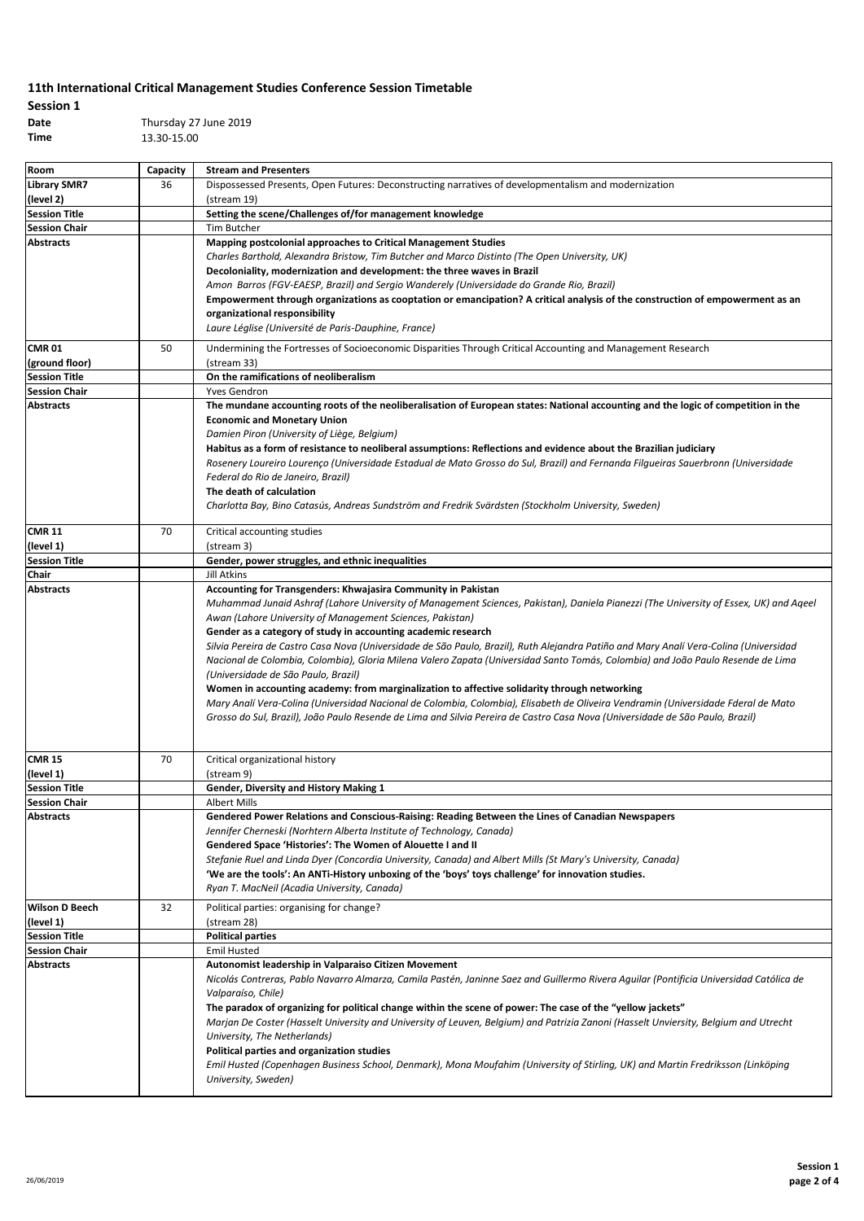## **Session 1**

**Date** Thursday 27 June 2019 **Time** 13.30-15.00

| Room                                     | Capacity | <b>Stream and Presenters</b>                                                                                                                                              |
|------------------------------------------|----------|---------------------------------------------------------------------------------------------------------------------------------------------------------------------------|
| <b>Library SMR7</b>                      | 36       | Dispossessed Presents, Open Futures: Deconstructing narratives of developmentalism and modernization                                                                      |
| (level 2)                                |          | (stream 19)                                                                                                                                                               |
| <b>Session Title</b>                     |          | Setting the scene/Challenges of/for management knowledge                                                                                                                  |
| <b>Session Chair</b>                     |          | Tim Butcher                                                                                                                                                               |
| <b>Abstracts</b>                         |          | Mapping postcolonial approaches to Critical Management Studies                                                                                                            |
|                                          |          | Charles Barthold, Alexandra Bristow, Tim Butcher and Marco Distinto (The Open University, UK)                                                                             |
|                                          |          | Decoloniality, modernization and development: the three waves in Brazil                                                                                                   |
|                                          |          | Amon Barros (FGV-EAESP, Brazil) and Sergio Wanderely (Universidade do Grande Rio, Brazil)                                                                                 |
|                                          |          | Empowerment through organizations as cooptation or emancipation? A critical analysis of the construction of empowerment as an                                             |
|                                          |          | organizational responsibility                                                                                                                                             |
|                                          |          | Laure Léglise (Université de Paris-Dauphine, France)                                                                                                                      |
| <b>CMR 01</b>                            | 50       | Undermining the Fortresses of Socioeconomic Disparities Through Critical Accounting and Management Research                                                               |
| (ground floor)                           |          | (stream 33)                                                                                                                                                               |
| <b>Session Title</b>                     |          | On the ramifications of neoliberalism                                                                                                                                     |
| <b>Session Chair</b>                     |          | Yves Gendron                                                                                                                                                              |
| <b>Abstracts</b>                         |          | The mundane accounting roots of the neoliberalisation of European states: National accounting and the logic of competition in the                                         |
|                                          |          | <b>Economic and Monetary Union</b>                                                                                                                                        |
|                                          |          | Damien Piron (University of Liège, Belgium)                                                                                                                               |
|                                          |          | Habitus as a form of resistance to neoliberal assumptions: Reflections and evidence about the Brazilian judiciary                                                         |
|                                          |          | Rosenery Loureiro Lourenco (Universidade Estadual de Mato Grosso do Sul, Brazil) and Fernanda Filqueiras Sauerbronn (Universidade                                         |
|                                          |          | Federal do Rio de Janeiro, Brazil)                                                                                                                                        |
|                                          |          | The death of calculation                                                                                                                                                  |
|                                          |          | Charlotta Bay, Bino Catasús, Andreas Sundström and Fredrik Svärdsten (Stockholm University, Sweden)                                                                       |
| <b>CMR 11</b>                            | 70       | Critical accounting studies                                                                                                                                               |
| (level 1)                                |          | (stream 3)                                                                                                                                                                |
| <b>Session Title</b>                     |          | Gender, power struggles, and ethnic inequalities                                                                                                                          |
| Chair                                    |          | Jill Atkins                                                                                                                                                               |
| <b>Abstracts</b>                         |          | Accounting for Transgenders: Khwajasira Community in Pakistan                                                                                                             |
|                                          |          | Muhammad Junaid Ashraf (Lahore University of Management Sciences, Pakistan), Daniela Pianezzi (The University of Essex, UK) and Aqeel                                     |
|                                          |          | Awan (Lahore University of Management Sciences, Pakistan)                                                                                                                 |
|                                          |          | Gender as a category of study in accounting academic research                                                                                                             |
|                                          |          | Silvia Pereira de Castro Casa Nova (Universidade de São Paulo, Brazil), Ruth Alejandra Patiño and Mary Analí Vera-Colina (Universidad                                     |
|                                          |          | Nacional de Colombia, Colombia), Gloria Milena Valero Zapata (Universidad Santo Tomás, Colombia) and João Paulo Resende de Lima                                           |
|                                          |          | (Universidade de São Paulo, Brazil)                                                                                                                                       |
|                                          |          | Women in accounting academy: from marginalization to affective solidarity through networking                                                                              |
|                                          |          | Mary Analí Vera-Colina (Universidad Nacional de Colombia, Colombia), Elisabeth de Oliveira Vendramin (Universidade Fderal de Mato                                         |
|                                          |          | Grosso do Sul, Brazil), João Paulo Resende de Lima and Silvia Pereira de Castro Casa Nova (Universidade de São Paulo, Brazil)                                             |
|                                          |          |                                                                                                                                                                           |
|                                          |          |                                                                                                                                                                           |
| <b>CMR 15</b>                            | 70       | Critical organizational history                                                                                                                                           |
| (level 1)                                |          | (stream 9)                                                                                                                                                                |
| <b>Session Title</b>                     |          | Gender, Diversity and History Making 1                                                                                                                                    |
| <b>Session Chair</b><br><b>Abstracts</b> |          | <b>Albert Mills</b>                                                                                                                                                       |
|                                          |          | Gendered Power Relations and Conscious-Raising: Reading Between the Lines of Canadian Newspapers<br>Jennifer Cherneski (Norhtern Alberta Institute of Technology, Canada) |
|                                          |          | Gendered Space 'Histories': The Women of Alouette I and II                                                                                                                |
|                                          |          | Stefanie Ruel and Linda Dyer (Concordia University, Canada) and Albert Mills (St Mary's University, Canada)                                                               |
|                                          |          | 'We are the tools': An ANTi-History unboxing of the 'boys' toys challenge' for innovation studies.                                                                        |
|                                          |          | Ryan T. MacNeil (Acadia University, Canada)                                                                                                                               |
|                                          |          |                                                                                                                                                                           |
| <b>Wilson D Beech</b><br>(level 1)       | 32       | Political parties: organising for change?<br>(stream 28)                                                                                                                  |
| <b>Session Title</b>                     |          | <b>Political parties</b>                                                                                                                                                  |
| <b>Session Chair</b>                     |          | <b>Emil Husted</b>                                                                                                                                                        |
| <b>Abstracts</b>                         |          | Autonomist leadership in Valparaiso Citizen Movement                                                                                                                      |
|                                          |          | Nicolás Contreras, Pablo Navarro Almarza, Camila Pastén, Janinne Saez and Guillermo Rivera Aguilar (Pontificia Universidad Católica de                                    |
|                                          |          | Valparaíso, Chile)                                                                                                                                                        |
|                                          |          | The paradox of organizing for political change within the scene of power: The case of the "yellow jackets"                                                                |
|                                          |          | Marjan De Coster (Hasselt University and University of Leuven, Belgium) and Patrizia Zanoni (Hasselt Unviersity, Belgium and Utrecht                                      |
|                                          |          | University, The Netherlands)                                                                                                                                              |
|                                          |          | Political parties and organization studies                                                                                                                                |
|                                          |          | Emil Husted (Copenhagen Business School, Denmark), Mona Moufahim (University of Stirling, UK) and Martin Fredriksson (Linköping                                           |
|                                          |          | University, Sweden)                                                                                                                                                       |
|                                          |          |                                                                                                                                                                           |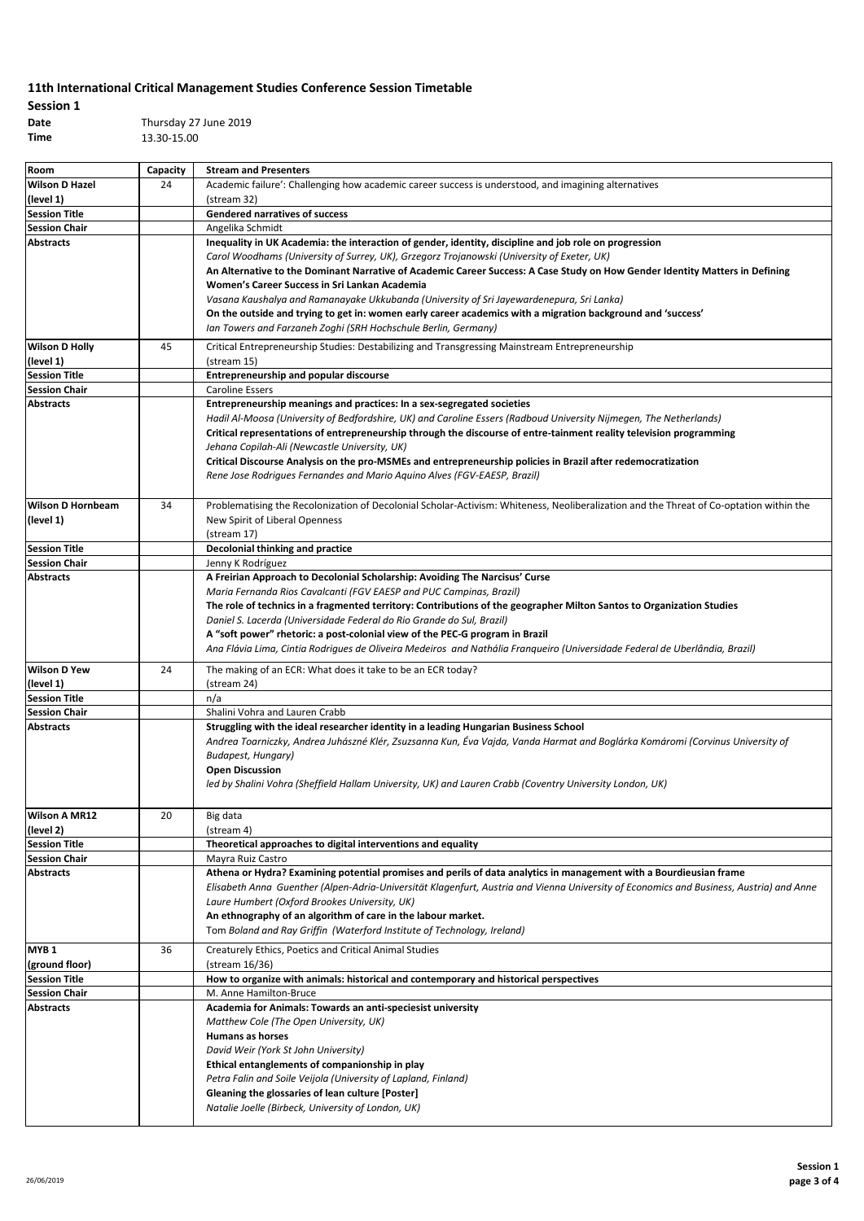# **Session 1**

**Date** Thursday 27 June 2019 **Time** 13.30-15.00

| Room                       | Capacity | <b>Stream and Presenters</b>                                                                                                                                                             |
|----------------------------|----------|------------------------------------------------------------------------------------------------------------------------------------------------------------------------------------------|
| <b>Wilson D Hazel</b>      | 24       | Academic failure': Challenging how academic career success is understood, and imagining alternatives                                                                                     |
| (level 1)                  |          | (stream 32)                                                                                                                                                                              |
| <b>Session Title</b>       |          | <b>Gendered narratives of success</b>                                                                                                                                                    |
| <b>Session Chair</b>       |          | Angelika Schmidt                                                                                                                                                                         |
| <b>Abstracts</b>           |          | Inequality in UK Academia: the interaction of gender, identity, discipline and job role on progression                                                                                   |
|                            |          | Carol Woodhams (University of Surrey, UK), Grzegorz Trojanowski (University of Exeter, UK)                                                                                               |
|                            |          | An Alternative to the Dominant Narrative of Academic Career Success: A Case Study on How Gender Identity Matters in Defining                                                             |
|                            |          | Women's Career Success in Sri Lankan Academia                                                                                                                                            |
|                            |          | Vasana Kaushalya and Ramanayake Ukkubanda (University of Sri Jayewardenepura, Sri Lanka)                                                                                                 |
|                            |          | On the outside and trying to get in: women early career academics with a migration background and 'success'                                                                              |
|                            |          | Ian Towers and Farzaneh Zoghi (SRH Hochschule Berlin, Germany)                                                                                                                           |
| <b>Wilson D Holly</b>      | 45       | Critical Entrepreneurship Studies: Destabilizing and Transgressing Mainstream Entrepreneurship                                                                                           |
| (level 1)                  |          | (stream 15)                                                                                                                                                                              |
| <b>Session Title</b>       |          | <b>Entrepreneurship and popular discourse</b>                                                                                                                                            |
| <b>Session Chair</b>       |          | <b>Caroline Essers</b>                                                                                                                                                                   |
| <b>Abstracts</b>           |          | Entrepreneurship meanings and practices: In a sex-segregated societies                                                                                                                   |
|                            |          | Hadil Al-Moosa (University of Bedfordshire, UK) and Caroline Essers (Radboud University Nijmegen, The Netherlands)                                                                       |
|                            |          | Critical representations of entrepreneurship through the discourse of entre-tainment reality television programming                                                                      |
|                            |          | Jehana Copilah-Ali (Newcastle University, UK)                                                                                                                                            |
|                            |          | Critical Discourse Analysis on the pro-MSMEs and entrepreneurship policies in Brazil after redemocratization<br>Rene Jose Rodrigues Fernandes and Mario Aquino Alves (FGV-EAESP, Brazil) |
|                            |          |                                                                                                                                                                                          |
| <b>Wilson D Hornbeam</b>   | 34       | Problematising the Recolonization of Decolonial Scholar-Activism: Whiteness, Neoliberalization and the Threat of Co-optation within the                                                  |
| (level 1)                  |          | New Spirit of Liberal Openness                                                                                                                                                           |
|                            |          | (stream 17)                                                                                                                                                                              |
| <b>Session Title</b>       |          | Decolonial thinking and practice                                                                                                                                                         |
| <b>Session Chair</b>       |          | Jenny K Rodríguez                                                                                                                                                                        |
| Abstracts                  |          | A Freirian Approach to Decolonial Scholarship: Avoiding The Narcisus' Curse                                                                                                              |
|                            |          | Maria Fernanda Rios Cavalcanti (FGV EAESP and PUC Campinas, Brazil)                                                                                                                      |
|                            |          | The role of technics in a fragmented territory: Contributions of the geographer Milton Santos to Organization Studies                                                                    |
|                            |          | Daniel S. Lacerda (Universidade Federal do Rio Grande do Sul, Brazil)                                                                                                                    |
|                            |          | A "soft power" rhetoric: a post-colonial view of the PEC-G program in Brazil                                                                                                             |
|                            |          | Ana Flávia Lima, Cintia Rodrigues de Oliveira Medeiros and Nathália Franqueiro (Universidade Federal de Uberlândia, Brazil)                                                              |
| <b>Wilson D Yew</b>        | 24       | The making of an ECR: What does it take to be an ECR today?                                                                                                                              |
| (level 1)                  |          | (stream 24)                                                                                                                                                                              |
| <b>Session Title</b>       |          | n/a                                                                                                                                                                                      |
| <b>Session Chair</b>       |          | Shalini Vohra and Lauren Crabb                                                                                                                                                           |
| <b>Abstracts</b>           |          | Struggling with the ideal researcher identity in a leading Hungarian Business School                                                                                                     |
|                            |          | Andrea Toarniczky, Andrea Juhászné Klér, Zsuzsanna Kun, Éva Vajda, Vanda Harmat and Boglárka Komáromi (Corvinus University of                                                            |
|                            |          | Budapest, Hungary)                                                                                                                                                                       |
|                            |          | <b>Open Discussion</b>                                                                                                                                                                   |
|                            |          | led by Shalini Vohra (Sheffield Hallam University, UK) and Lauren Crabb (Coventry University London, UK)                                                                                 |
|                            |          |                                                                                                                                                                                          |
| Wilson A MR12<br>(level 2) | 20       | Big data<br>(stream 4)                                                                                                                                                                   |
| <b>Session Title</b>       |          | Theoretical approaches to digital interventions and equality                                                                                                                             |
| <b>Session Chair</b>       |          | Mayra Ruiz Castro                                                                                                                                                                        |
| Abstracts                  |          | Athena or Hydra? Examining potential promises and perils of data analytics in management with a Bourdieusian frame                                                                       |
|                            |          | Elisabeth Anna Guenther (Alpen-Adria-Universität Klagenfurt, Austria and Vienna University of Economics and Business, Austria) and Anne                                                  |
|                            |          | Laure Humbert (Oxford Brookes University, UK)                                                                                                                                            |
|                            |          | An ethnography of an algorithm of care in the labour market.                                                                                                                             |
|                            |          | Tom Boland and Ray Griffin (Waterford Institute of Technology, Ireland)                                                                                                                  |
| MYB 1                      | 36       | Creaturely Ethics, Poetics and Critical Animal Studies                                                                                                                                   |
| (ground floor)             |          | (stream 16/36)                                                                                                                                                                           |
| <b>Session Title</b>       |          | How to organize with animals: historical and contemporary and historical perspectives                                                                                                    |
| <b>Session Chair</b>       |          | M. Anne Hamilton-Bruce                                                                                                                                                                   |
| <b>Abstracts</b>           |          | Academia for Animals: Towards an anti-speciesist university                                                                                                                              |
|                            |          | Matthew Cole (The Open University, UK)                                                                                                                                                   |
|                            |          | Humans as horses                                                                                                                                                                         |
|                            |          | David Weir (York St John University)                                                                                                                                                     |
|                            |          | Ethical entanglements of companionship in play                                                                                                                                           |
|                            |          | Petra Falin and Soile Veijola (University of Lapland, Finland)                                                                                                                           |
|                            |          | Gleaning the glossaries of lean culture [Poster]                                                                                                                                         |
|                            |          | Natalie Joelle (Birbeck, University of London, UK)                                                                                                                                       |
|                            |          |                                                                                                                                                                                          |